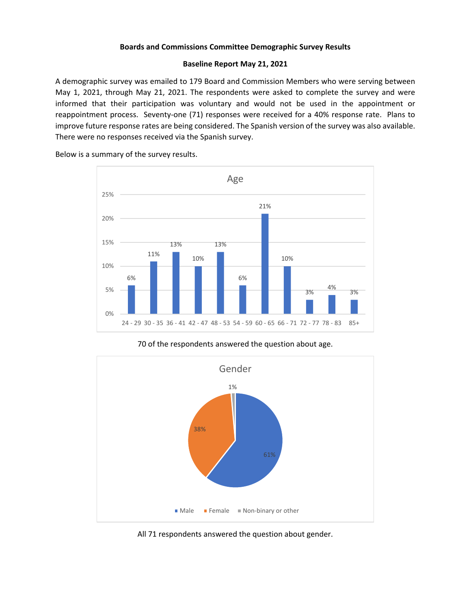#### **Boards and Commissions Committee Demographic Survey Results**

#### **Baseline Report May 21, 2021**

A demographic survey was emailed to 179 Board and Commission Members who were serving between May 1, 2021, through May 21, 2021. The respondents were asked to complete the survey and were informed that their participation was voluntary and would not be used in the appointment or reappointment process. Seventy-one (71) responses were received for a 40% response rate. Plans to improve future response rates are being considered. The Spanish version of the survey was also available. There were no responses received via the Spanish survey.

Below is a summary of the survey results.



#### 70 of the respondents answered the question about age.



All 71 respondents answered the question about gender.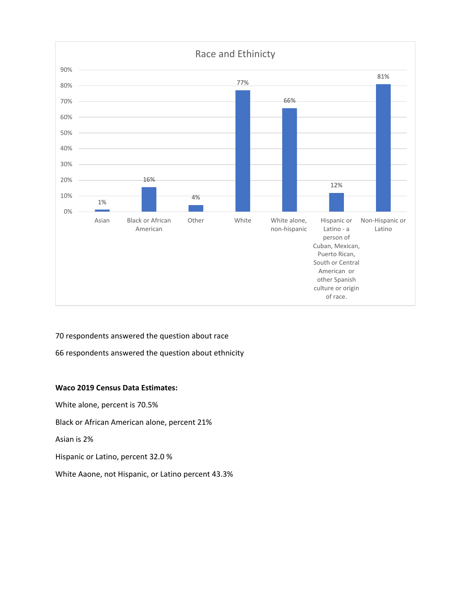

70 respondents answered the question about race 66 respondents answered the question about ethnicity

## **Waco 2019 Census Data Estimates:**

White alone, percent is 70.5% Black or African American alone, percent 21% Asian is 2%

Hispanic or Latino, percent 32.0 %

White Aaone, not Hispanic, or Latino percent 43.3%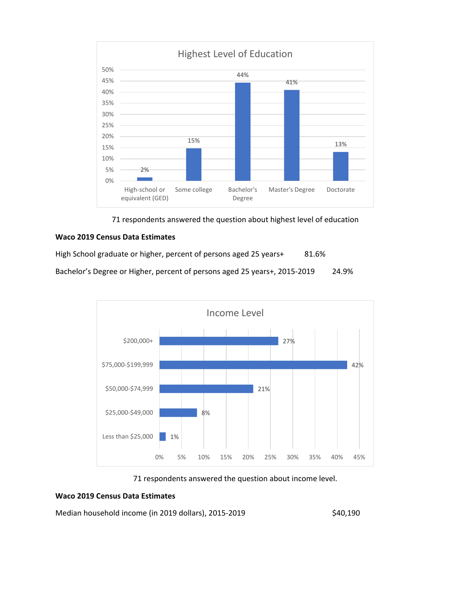

71 respondents answered the question about highest level of education

## **Waco 2019 Census Data Estimates**

High School graduate or higher, percent of persons aged 25 years+ 81.6% Bachelor's Degree or Higher, percent of persons aged 25 years+, 2015-2019 24.9%



## 71 respondents answered the question about income level.

## **Waco 2019 Census Data Estimates**

Median household income (in 2019 dollars), 2015-2019 \$40,190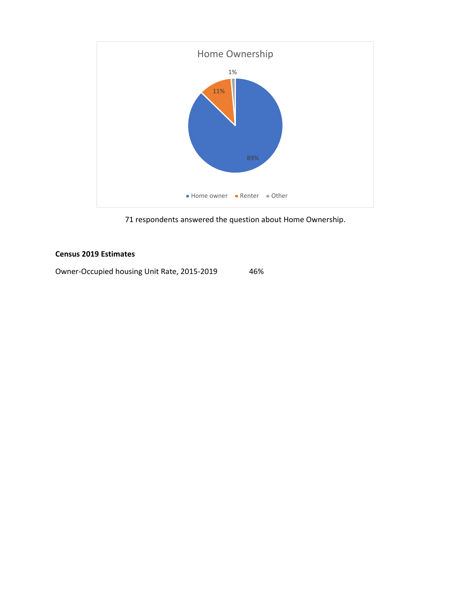

71 respondents answered the question about Home Ownership.

# **Census 2019 Estimates**

Owner-Occupied housing Unit Rate, 2015-2019 46%